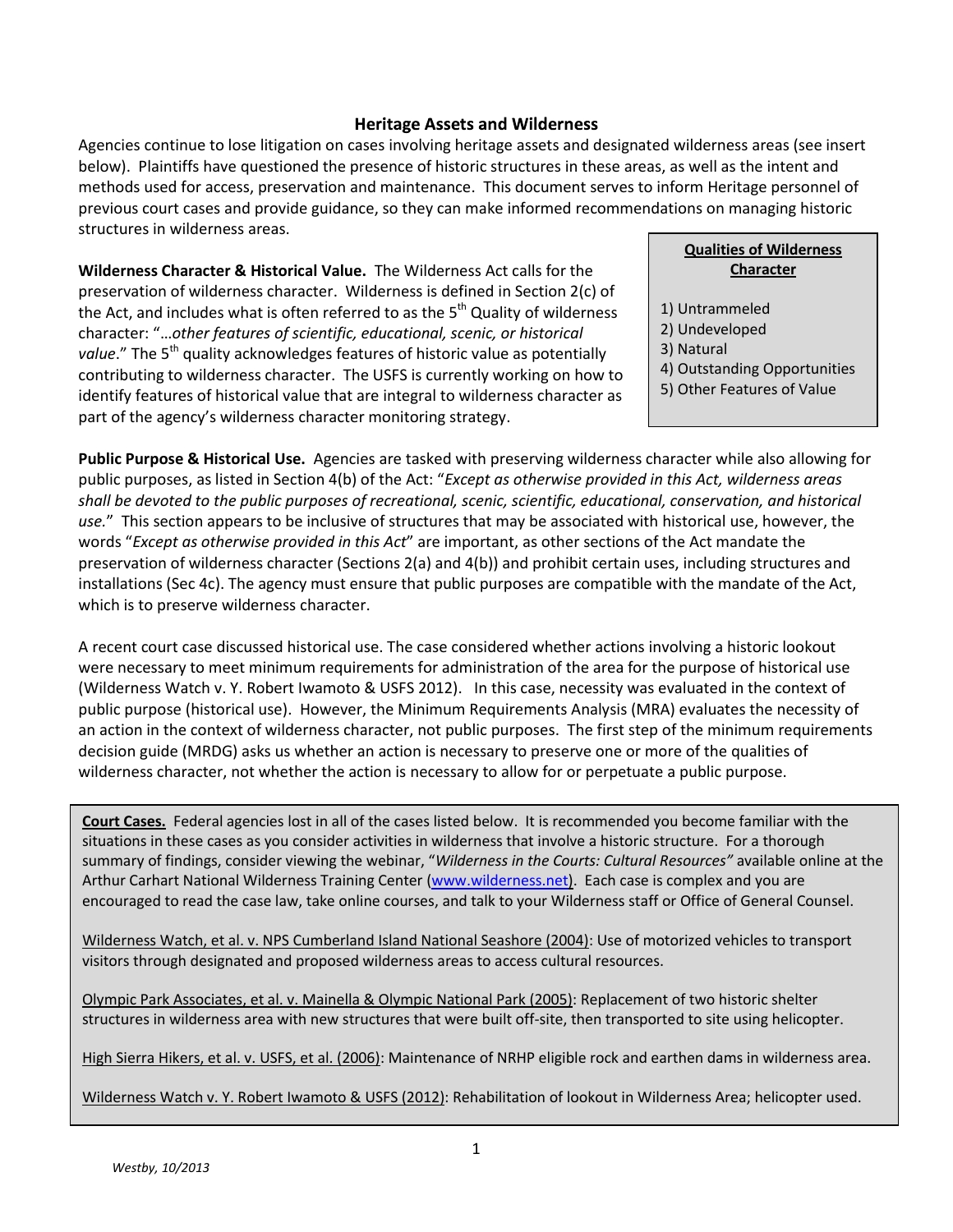## **Heritage Assets and Wilderness**

Agencies continue to lose litigation on cases involving heritage assets and designated wilderness areas (see insert below). Plaintiffs have questioned the presence of historic structures in these areas, as well as the intent and methods used for access, preservation and maintenance. This document serves to inform Heritage personnel of previous court cases and provide guidance, so they can make informed recommendations on managing historic structures in wilderness areas.

**Wilderness Character & Historical Value.** The Wilderness Act calls for the preservation of wilderness character. Wilderness is defined in Section 2(c) of the Act, and includes what is often referred to as the  $5<sup>th</sup>$  Quality of wilderness character: "…*other features of scientific, educational, scenic, or historical value*." The 5<sup>th</sup> quality acknowledges features of historic value as potentially contributing to wilderness character. The USFS is currently working on how to identify features of historical value that are integral to wilderness character as part of the agency's wilderness character monitoring strategy.

## **Qualities of Wilderness Character**

- 1) Untrammeled
- 2) Undeveloped
- 3) Natural
- 4) Outstanding Opportunities
- 5) Other Features of Value

**Public Purpose & Historical Use.** Agencies are tasked with preserving wilderness character while also allowing for public purposes, as listed in Section 4(b) of the Act: "*Except as otherwise provided in this Act, wilderness areas shall be devoted to the public purposes of recreational, scenic, scientific, educational, conservation, and historical use.*" This section appears to be inclusive of structures that may be associated with historical use, however, the words "*Except as otherwise provided in this Act*" are important, as other sections of the Act mandate the preservation of wilderness character (Sections 2(a) and 4(b)) and prohibit certain uses, including structures and installations (Sec 4c). The agency must ensure that public purposes are compatible with the mandate of the Act, which is to preserve wilderness character.

A recent court case discussed historical use. The case considered whether actions involving a historic lookout were necessary to meet minimum requirements for administration of the area for the purpose of historical use (Wilderness Watch v. Y. Robert Iwamoto & USFS 2012). In this case, necessity was evaluated in the context of public purpose (historical use). However, the Minimum Requirements Analysis (MRA) evaluates the necessity of an action in the context of wilderness character, not public purposes. The first step of the minimum requirements decision guide (MRDG) asks us whether an action is necessary to preserve one or more of the qualities of wilderness character, not whether the action is necessary to allow for or perpetuate a public purpose.

**Court Cases.** Federal agencies lost in all of the cases listed below. It is recommended you become familiar with the situations in these cases as you consider activities in wilderness that involve a historic structure. For a thorough summary of findings, consider viewing the webinar, "*Wilderness in the Courts: Cultural Resources"* available online at the Arthur Carhart National Wilderness Training Center [\(www.wilderness.net\)](http://www.wilderness.net/). Each case is complex and you are encouraged to read the case law, take online courses, and talk to your Wilderness staff or Office of General Counsel.

Wilderness Watch, et al. v. NPS Cumberland Island National Seashore (2004): Use of motorized vehicles to transport visitors through designated and proposed wilderness areas to access cultural resources.

Olympic Park Associates, et al. v. Mainella & Olympic National Park (2005): Replacement of two historic shelter structures in wilderness area with new structures that were built off-site, then transported to site using helicopter.

High Sierra Hikers, et al. v. USFS, et al. (2006): Maintenance of NRHP eligible rock and earthen dams in wilderness area.

Wilderness Watch v. Y. Robert Iwamoto & USFS (2012): Rehabilitation of lookout in Wilderness Area; helicopter used.